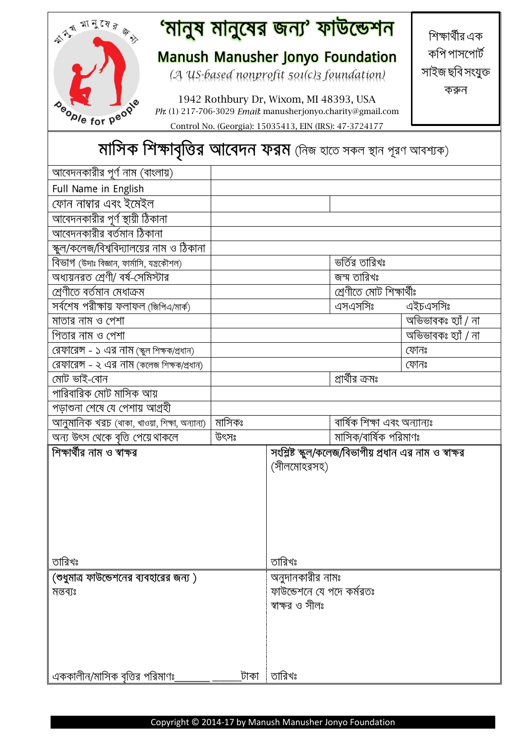#### <mark>'মানুষ মানুষের জন্য' ফাউন্ডেশন</mark> 本书 可了了了。 শিক্ষার্থীর এক কপি পাসপোর্ট **Manush Manusher Jonyo Foundation** সাইজ ছবি সংযুক্ত *(A US-based nonprofit 501(c)3 foundation)* করুন 1942 Rothbury Dr, Wixom, MI 48393, USA Deople for people Ph: (1) 217-706-3029 Email: manusherjonyo.charity@gmail.com Control No. (Georgia): 15035413, EIN (IRS): 47-3724177

## মাসিক শিক্ষাবৃত্তির আবেদন ফরম (নিজ হাতে সকল স্থান পূরণ আবশ্যক)

| আবেদনকারীর পূর্ণ নাম (বাংলায়)                |                           |                  |                              |                                                        |
|-----------------------------------------------|---------------------------|------------------|------------------------------|--------------------------------------------------------|
|                                               |                           |                  |                              |                                                        |
| Full Name in English                          |                           |                  |                              |                                                        |
| ফোন নাম্বার এবং ইমেইল                         |                           |                  |                              |                                                        |
| আবেদনকারীর পূর্ণ স্থায়ী ঠিকানা               |                           |                  |                              |                                                        |
| আবেদনকারীর বর্তমান ঠিকানা                     |                           |                  |                              |                                                        |
| স্কুল/কলেজ/বিশ্ববিদ্যালয়ের নাম ও ঠিকানা      |                           |                  |                              |                                                        |
| বিভাগ (উদাঃ বিজ্ঞান, ফার্মাসি, যন্ত্রকৌশল)    |                           |                  | ভৰ্তির তারিখঃ                |                                                        |
| অধ্যয়নরত শ্রেণী/ বর্ষ-সেমিস্টার              |                           |                  | জন্ম তারিখঃ                  |                                                        |
| <u>শ্ৰেণীতে বৰ্তমান মেধাক্ৰম</u>              |                           |                  | শ্ৰেণীতে মোট শিক্ষাৰ্থীঃ     |                                                        |
| সৰ্বশেষ পরীক্ষায় ফলাফল (জিপিএ/মার্ক)         |                           |                  | এসএসসিঃ                      | এইচএসসিঃ                                               |
| মাতার নাম ও পেশা                              |                           |                  |                              | অভিভাবকঃ হ্যাঁ / না                                    |
| পিতার নাম ও পেশা                              |                           |                  |                              | অভিভাবকঃ হ্যাঁ / না                                    |
| রেফারেন্স - ১ এর নাম (স্কুল শিক্ষক/প্রধান)    |                           |                  |                              | ফোনঃ                                                   |
| রেফারেন্স - ২ এর নাম (কলেজ শিক্ষক/প্রধান)     |                           |                  |                              | ফোনঃ                                                   |
| মোট ভাই-বোন                                   |                           |                  | প্রার্থীর ক্রমঃ              |                                                        |
| পারিবারিক মোট মাসিক আয়                       |                           |                  |                              |                                                        |
| পড়াশুনা শেষে যে পেশায় আগ্ৰহী                |                           |                  |                              |                                                        |
| আনুমানিক খরচ (থাকা, খাওয়া, শিক্ষা, অন্যান্য) | মাসিকঃ                    |                  | বাৰ্ষিক শিক্ষা এবং অন্যান্যঃ |                                                        |
| অন্য উৎস থেকে বৃত্তি পেয়ে থাকলে              | উৎসঃ                      |                  | মাসিক/বার্ষিক পরিমাণঃ        |                                                        |
| শিক্ষার্থীর নাম ও স্বাক্ষর                    |                           |                  |                              | সংশ্লিষ্ট স্কুল/কলেজ/বিভাগীয় প্রধান এর নাম ও স্বাক্ষর |
|                                               |                           | (সীলমোহরসহ)      |                              |                                                        |
|                                               |                           |                  |                              |                                                        |
|                                               |                           |                  |                              |                                                        |
|                                               |                           |                  |                              |                                                        |
|                                               |                           |                  |                              |                                                        |
|                                               |                           |                  |                              |                                                        |
|                                               |                           |                  |                              |                                                        |
| তারিখঃ                                        |                           | তারিখঃ           |                              |                                                        |
| (শুধুমাত্র ফাউন্ডেশনের ব্যবহারের জন্য )       |                           | অনুদানকারীর নামঃ |                              |                                                        |
| মন্তব্যঃ                                      | ফাউন্ডেশনে যে পদে কৰ্মরতঃ |                  |                              |                                                        |
|                                               |                           | স্বাক্ষর ও সীলঃ  |                              |                                                        |
|                                               |                           |                  |                              |                                                        |
|                                               |                           |                  |                              |                                                        |
|                                               |                           |                  |                              |                                                        |
|                                               |                           |                  |                              |                                                        |
|                                               |                           |                  |                              |                                                        |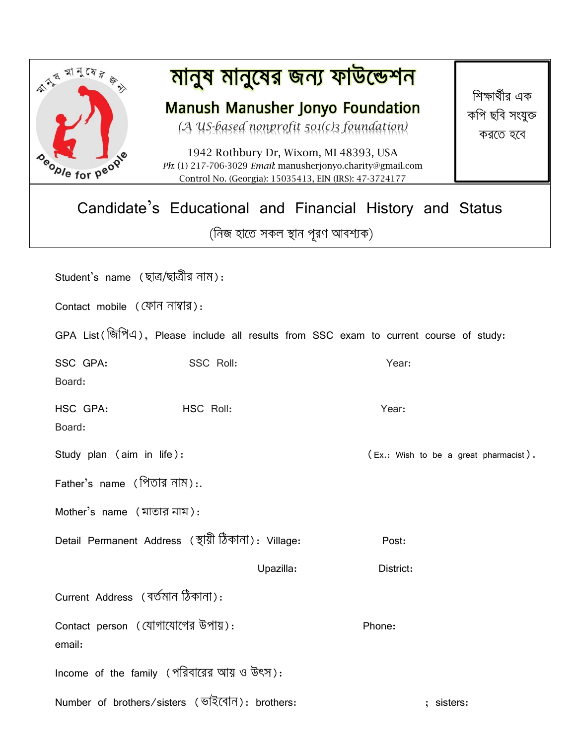

# <u>মানুষ মানুষের জন্য ফাউন্ডেশন</u>

**Manush Manusher Jonyo Foundation** 

*(A US-based nonprofit 501(c)3 foundation)*

1942 Rothbury Dr, Wixom, MI 48393, USA Ph: (1) 217-706-3029 Email: manusherjonyo.charity@gmail.com Control No. (Georgia): 15035413, EIN (IRS): 47-3724177

শিক্ষার্থীর এক কপি ছবি সংযুক্ত করতে হবে

### Candidate's Educational and Financial History and Status (নিজ হাতে সকল স্থান পূরণ আবশ্যক)

| Student's name (ছাত্ৰ/ছাত্ৰীর নাম):                                                    |                                                     |                                       |  |  |  |  |  |
|----------------------------------------------------------------------------------------|-----------------------------------------------------|---------------------------------------|--|--|--|--|--|
| Contact mobile (ফোন নাম্বার):                                                          |                                                     |                                       |  |  |  |  |  |
| GPA List (জিপিএ), Please include all results from SSC exam to current course of study: |                                                     |                                       |  |  |  |  |  |
| SSC GPA:<br>Board:                                                                     | SSC Roll:                                           | Year:                                 |  |  |  |  |  |
| HSC GPA:<br>Board:                                                                     | HSC Roll:                                           | Year:                                 |  |  |  |  |  |
| Study plan (aim in life):                                                              |                                                     | (Ex.: Wish to be a great pharmacist). |  |  |  |  |  |
| Father's name (পিতার নাম):.                                                            |                                                     |                                       |  |  |  |  |  |
| Mother's name (মাতার নাম):                                                             |                                                     |                                       |  |  |  |  |  |
|                                                                                        | Detail Permanent Address (স্থায়ী ঠিকানা): Village: | Post:                                 |  |  |  |  |  |
|                                                                                        | Upazilla:                                           | District:                             |  |  |  |  |  |
| Current Address (বৰ্তমান ঠিকানা):                                                      |                                                     |                                       |  |  |  |  |  |
| Contact person (যোগাযোগের উপায়):<br>email:                                            |                                                     | Phone:                                |  |  |  |  |  |
| Income of the family (পরিবারের আয় ও উৎস):                                             |                                                     |                                       |  |  |  |  |  |
|                                                                                        | Number of brothers/sisters (ভাইবোন): brothers:      | ; sisters:                            |  |  |  |  |  |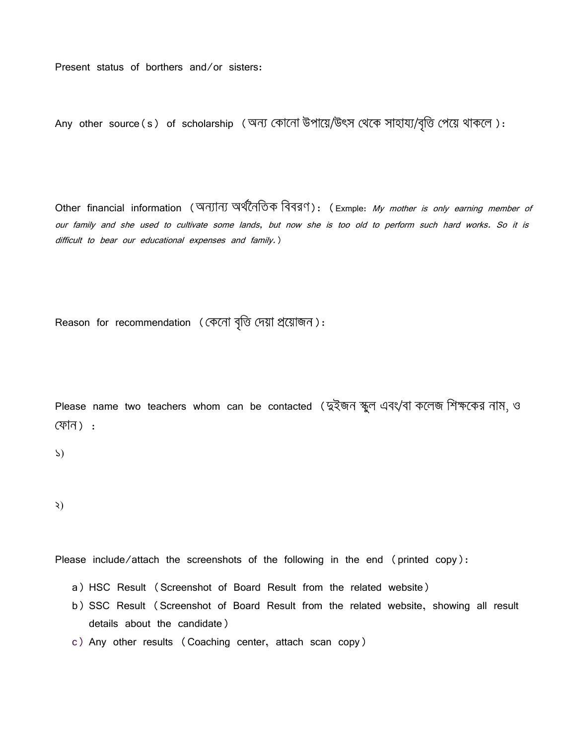Present status of borthers and/or sisters:

Any other source(s) of scholarship (অন্য কোনো উপায়ে/উৎস থেকে সাহায্য/বৃত্তি পেয়ে থাকলে):

Other financial information (অন্যান্য অর্থনৈতিক বিবরণ): (Exmple: My mother is only earning member of our family and she used to cultivate some lands, but now she is too old to perform such hard works. So it is difficult to bear our educational expenses and family.)

Reason for recommendation ( কেনো বৃত্তি দেয়া প্ৰয়োজন):

Please name two teachers whom can be contacted ( তুইজন স্কুল এবং/বা কলেজ শিক্ষকের নাম, ও ) :

১)

২)

Please include/attach the screenshots of the following in the end (printed copy):

- a) HSC Result (Screenshot of Board Result from the related website)
- b) SSC Result (Screenshot of Board Result from the related website, showing all result details about the candidate)
- c) Any other results (Coaching center, attach scan copy)